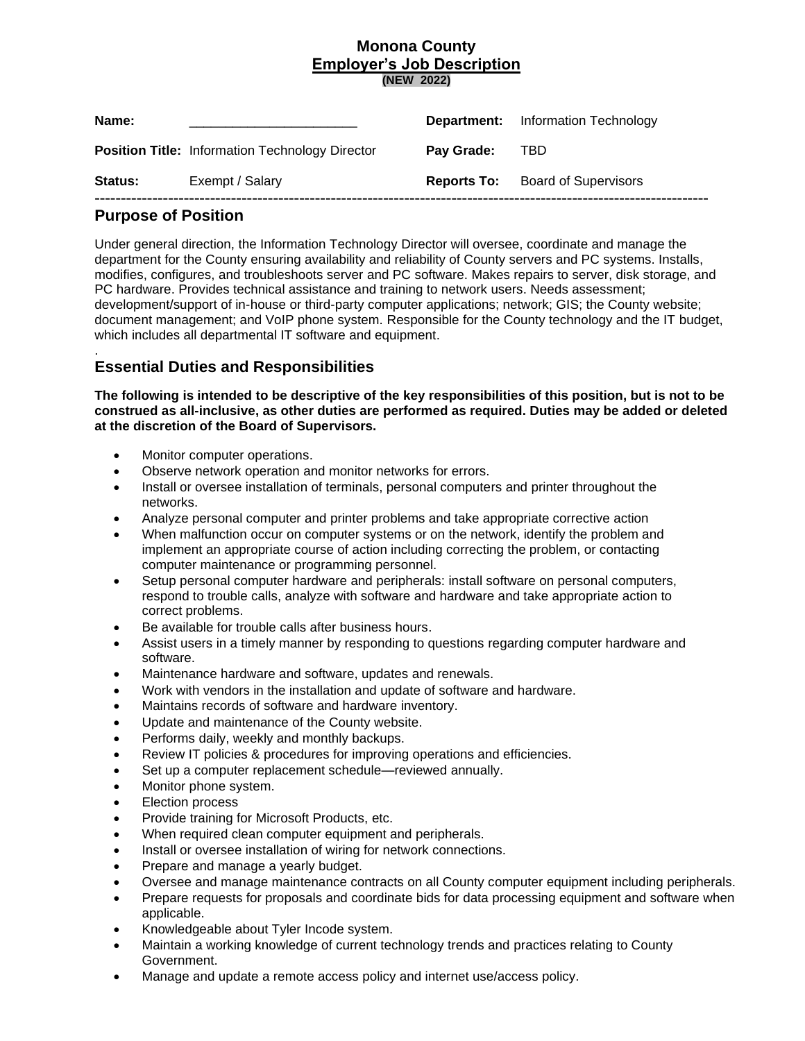# **Monona County Employer's Job Description (NEW 2022)**

| Name:   |                                                        |            | <b>Department:</b> Information Technology |
|---------|--------------------------------------------------------|------------|-------------------------------------------|
|         | <b>Position Title: Information Technology Director</b> | Pay Grade: | <b>TBD</b>                                |
| Status: | Exempt / Salary                                        |            | <b>Reports To:</b> Board of Supervisors   |
|         |                                                        |            |                                           |

# **Purpose of Position**

Under general direction, the Information Technology Director will oversee, coordinate and manage the department for the County ensuring availability and reliability of County servers and PC systems. Installs, modifies, configures, and troubleshoots server and PC software. Makes repairs to server, disk storage, and PC hardware. Provides technical assistance and training to network users. Needs assessment; development/support of in-house or third-party computer applications; network; GIS; the County website; document management; and VoIP phone system. Responsible for the County technology and the IT budget, which includes all departmental IT software and equipment.

#### . **Essential Duties and Responsibilities**

**The following is intended to be descriptive of the key responsibilities of this position, but is not to be construed as all-inclusive, as other duties are performed as required. Duties may be added or deleted at the discretion of the Board of Supervisors.**

- Monitor computer operations.
- Observe network operation and monitor networks for errors.
- Install or oversee installation of terminals, personal computers and printer throughout the networks.
- Analyze personal computer and printer problems and take appropriate corrective action
- When malfunction occur on computer systems or on the network, identify the problem and implement an appropriate course of action including correcting the problem, or contacting computer maintenance or programming personnel.
- Setup personal computer hardware and peripherals: install software on personal computers, respond to trouble calls, analyze with software and hardware and take appropriate action to correct problems.
- Be available for trouble calls after business hours.
- Assist users in a timely manner by responding to questions regarding computer hardware and software.
- Maintenance hardware and software, updates and renewals.
- Work with vendors in the installation and update of software and hardware.
- Maintains records of software and hardware inventory.
- Update and maintenance of the County website.
- Performs daily, weekly and monthly backups.
- Review IT policies & procedures for improving operations and efficiencies.
- Set up a computer replacement schedule—reviewed annually.
- Monitor phone system.
- **Election process**
- Provide training for Microsoft Products, etc.
- When required clean computer equipment and peripherals.
- Install or oversee installation of wiring for network connections.
- Prepare and manage a yearly budget.
- Oversee and manage maintenance contracts on all County computer equipment including peripherals.
- Prepare requests for proposals and coordinate bids for data processing equipment and software when applicable.
- Knowledgeable about Tyler Incode system.
- Maintain a working knowledge of current technology trends and practices relating to County Government.
- Manage and update a remote access policy and internet use/access policy.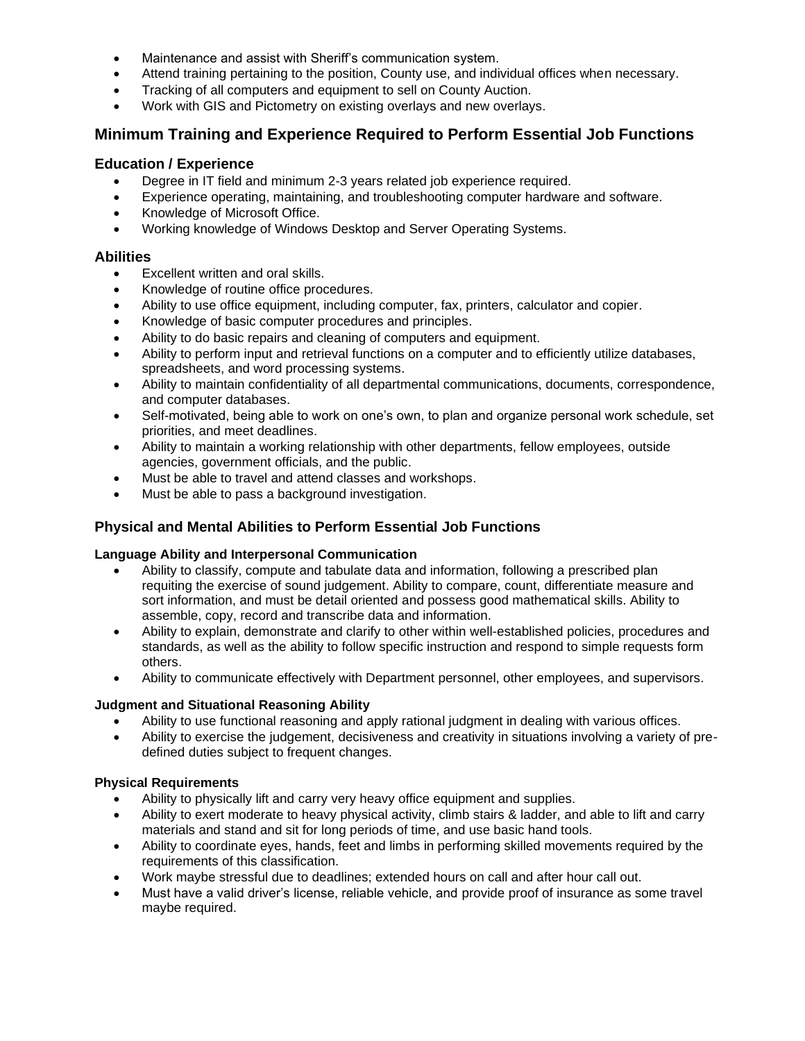- Maintenance and assist with Sheriff's communication system.
- Attend training pertaining to the position, County use, and individual offices when necessary.
- Tracking of all computers and equipment to sell on County Auction.
- Work with GIS and Pictometry on existing overlays and new overlays.

# **Minimum Training and Experience Required to Perform Essential Job Functions**

## **Education / Experience**

- Degree in IT field and minimum 2-3 years related job experience required.
- Experience operating, maintaining, and troubleshooting computer hardware and software.
- Knowledge of Microsoft Office.
- Working knowledge of Windows Desktop and Server Operating Systems.

## **Abilities**

- Excellent written and oral skills.
- Knowledge of routine office procedures.
- Ability to use office equipment, including computer, fax, printers, calculator and copier.
- Knowledge of basic computer procedures and principles.
- Ability to do basic repairs and cleaning of computers and equipment.
- Ability to perform input and retrieval functions on a computer and to efficiently utilize databases, spreadsheets, and word processing systems.
- Ability to maintain confidentiality of all departmental communications, documents, correspondence, and computer databases.
- Self-motivated, being able to work on one's own, to plan and organize personal work schedule, set priorities, and meet deadlines.
- Ability to maintain a working relationship with other departments, fellow employees, outside agencies, government officials, and the public.
- Must be able to travel and attend classes and workshops.
- Must be able to pass a background investigation.

# **Physical and Mental Abilities to Perform Essential Job Functions**

### **Language Ability and Interpersonal Communication**

- Ability to classify, compute and tabulate data and information, following a prescribed plan requiting the exercise of sound judgement. Ability to compare, count, differentiate measure and sort information, and must be detail oriented and possess good mathematical skills. Ability to assemble, copy, record and transcribe data and information.
- Ability to explain, demonstrate and clarify to other within well-established policies, procedures and standards, as well as the ability to follow specific instruction and respond to simple requests form others.
- Ability to communicate effectively with Department personnel, other employees, and supervisors.

### **Judgment and Situational Reasoning Ability**

- Ability to use functional reasoning and apply rational judgment in dealing with various offices.
- Ability to exercise the judgement, decisiveness and creativity in situations involving a variety of predefined duties subject to frequent changes.

### **Physical Requirements**

- Ability to physically lift and carry very heavy office equipment and supplies.
- Ability to exert moderate to heavy physical activity, climb stairs & ladder, and able to lift and carry materials and stand and sit for long periods of time, and use basic hand tools.
- Ability to coordinate eyes, hands, feet and limbs in performing skilled movements required by the requirements of this classification.
- Work maybe stressful due to deadlines; extended hours on call and after hour call out.
- Must have a valid driver's license, reliable vehicle, and provide proof of insurance as some travel maybe required.